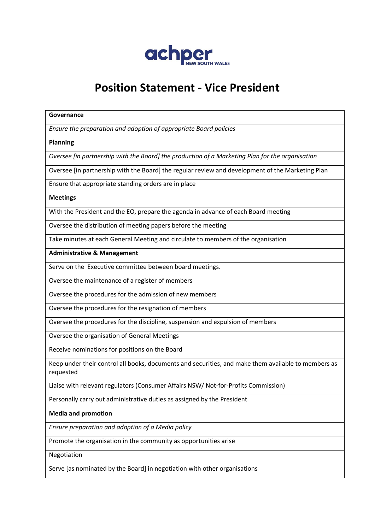

# **Position Statement - Vice President**

#### **Governance**

*Ensure the preparation and adoption of appropriate Board policies*

#### **Planning**

*Oversee [in partnership with the Board] the production of a Marketing Plan for the organisation*

Oversee [in partnership with the Board] the regular review and development of the Marketing Plan

Ensure that appropriate standing orders are in place

#### **Meetings**

With the President and the EO, prepare the agenda in advance of each Board meeting

Oversee the distribution of meeting papers before the meeting

Take minutes at each General Meeting and circulate to members of the organisation

**Administrative & Management**

Serve on the Executive committee between board meetings.

Oversee the maintenance of a register of members

Oversee the procedures for the admission of new members

Oversee the procedures for the resignation of members

Oversee the procedures for the discipline, suspension and expulsion of members

Oversee the organisation of General Meetings

Receive nominations for positions on the Board

Keep under their control all books, documents and securities, and make them available to members as requested

Liaise with relevant regulators (Consumer Affairs NSW/ Not-for-Profits Commission)

Personally carry out administrative duties as assigned by the President

## **Media and promotion**

*Ensure preparation and adoption of a Media policy*

Promote the organisation in the community as opportunities arise

Negotiation

Serve [as nominated by the Board] in negotiation with other organisations